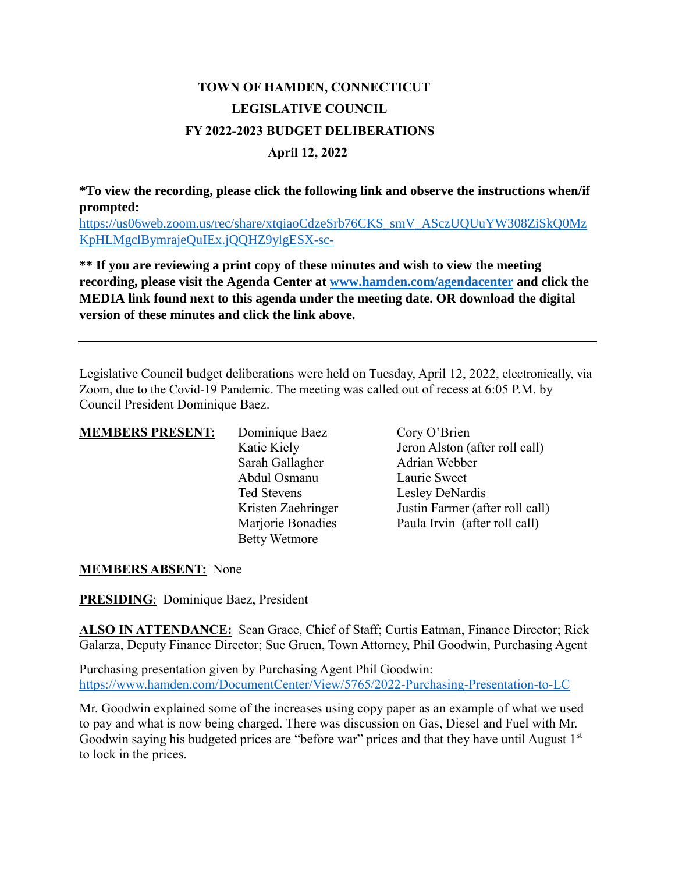## **TOWN OF HAMDEN, CONNECTICUT LEGISLATIVE COUNCIL FY 2022-2023 BUDGET DELIBERATIONS April 12, 2022**

**\*To view the recording, please click the following link and observe the instructions when/if prompted:**

[https://us06web.zoom.us/rec/share/xtqiaoCdzeSrb76CKS\\_smV\\_ASczUQUuYW308ZiSkQ0Mz](https://us06web.zoom.us/rec/share/xtqiaoCdzeSrb76CKS_smV_ASczUQUuYW308ZiSkQ0MzKpHLMgclBymrajeQuIEx.jQQHZ9ylgESX-sc-) [KpHLMgclBymrajeQuIEx.jQQHZ9ylgESX-sc-](https://us06web.zoom.us/rec/share/xtqiaoCdzeSrb76CKS_smV_ASczUQUuYW308ZiSkQ0MzKpHLMgclBymrajeQuIEx.jQQHZ9ylgESX-sc-)

**\*\* If you are reviewing a print copy of these minutes and wish to view the meeting recording, please visit the Agenda Center at [www.hamden.com/agendacenter](http://www.hamden.com/agendacenter) and click the MEDIA link found next to this agenda under the meeting date. OR download the digital version of these minutes and click the link above.**

Legislative Council budget deliberations were held on Tuesday, April 12, 2022, electronically, via Zoom, due to the Covid-19 Pandemic. The meeting was called out of recess at 6:05 P.M. by Council President Dominique Baez.

| <b>MEMBERS PRESENT:</b> | Dominique Baez       | Cory O'Brien                    |
|-------------------------|----------------------|---------------------------------|
|                         | Katie Kiely          | Jeron Alston (after roll call)  |
|                         | Sarah Gallagher      | Adrian Webber                   |
|                         | Abdul Osmanu         | Laurie Sweet                    |
|                         | Ted Stevens          | Lesley DeNardis                 |
|                         | Kristen Zaehringer   | Justin Farmer (after roll call) |
|                         | Marjorie Bonadies    | Paula Irvin (after roll call)   |
|                         | <b>Betty Wetmore</b> |                                 |

## **MEMBERS ABSENT:** None

**PRESIDING**: Dominique Baez, President

**ALSO IN ATTENDANCE:** Sean Grace, Chief of Staff; Curtis Eatman, Finance Director; Rick Galarza, Deputy Finance Director; Sue Gruen, Town Attorney, Phil Goodwin, Purchasing Agent

Purchasing presentation given by Purchasing Agent Phil Goodwin: <https://www.hamden.com/DocumentCenter/View/5765/2022-Purchasing-Presentation-to-LC>

Mr. Goodwin explained some of the increases using copy paper as an example of what we used to pay and what is now being charged. There was discussion on Gas, Diesel and Fuel with Mr. Goodwin saying his budgeted prices are "before war" prices and that they have until August 1st to lock in the prices.